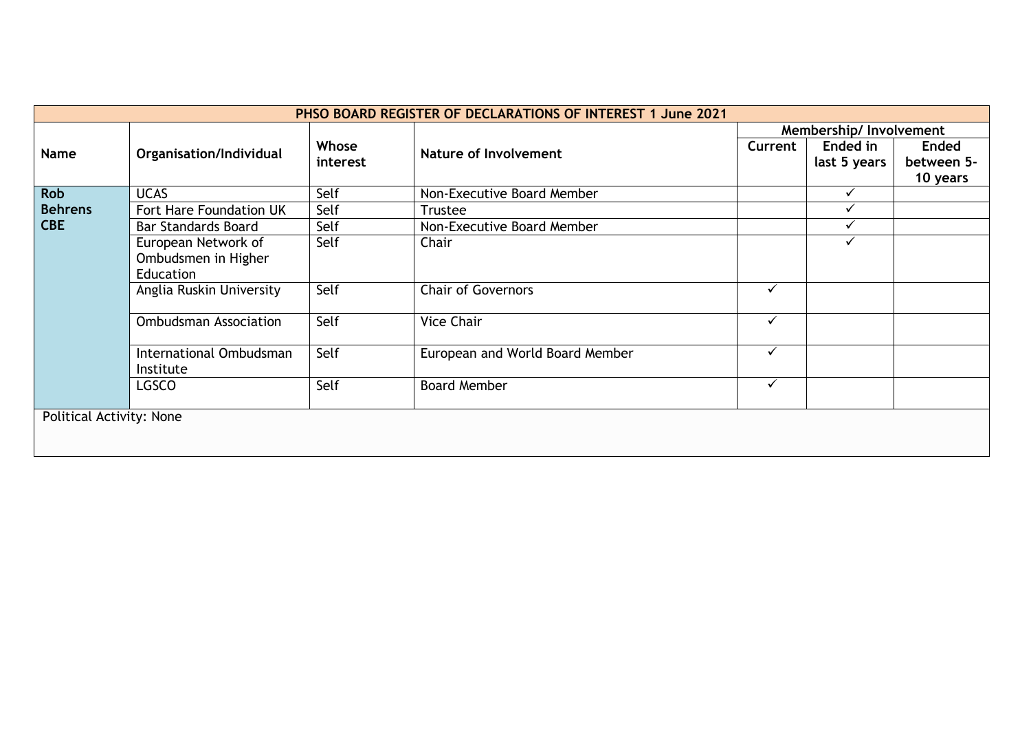|                                 |                                                                |                   | PHSO BOARD REGISTER OF DECLARATIONS OF INTEREST 1 June 2021 |              |                          |                                        |
|---------------------------------|----------------------------------------------------------------|-------------------|-------------------------------------------------------------|--------------|--------------------------|----------------------------------------|
|                                 |                                                                |                   |                                                             |              | Membership/ Involvement  |                                        |
| Name                            | Organisation/Individual                                        | Whose<br>interest | Nature of Involvement                                       | Current      | Ended in<br>last 5 years | <b>Ended</b><br>between 5-<br>10 years |
| <b>Rob</b>                      | <b>UCAS</b>                                                    | Self              | Non-Executive Board Member                                  |              |                          |                                        |
| <b>Behrens</b>                  | Fort Hare Foundation UK                                        | Self              | <b>Trustee</b>                                              |              | ✓                        |                                        |
| <b>CBE</b>                      | <b>Bar Standards Board</b>                                     | Self              | Non-Executive Board Member                                  |              | $\checkmark$             |                                        |
|                                 | European Network of<br>Ombudsmen in Higher<br><b>Education</b> | Self              | Chair                                                       |              | ✓                        |                                        |
|                                 | Anglia Ruskin University                                       | Self              | <b>Chair of Governors</b>                                   | $\checkmark$ |                          |                                        |
|                                 | <b>Ombudsman Association</b>                                   | Self              | <b>Vice Chair</b>                                           | $\checkmark$ |                          |                                        |
|                                 | International Ombudsman<br>Institute                           | Self              | European and World Board Member                             | $\checkmark$ |                          |                                        |
|                                 | LGSCO                                                          | Self              | <b>Board Member</b>                                         | $\checkmark$ |                          |                                        |
| <b>Political Activity: None</b> |                                                                |                   |                                                             |              |                          |                                        |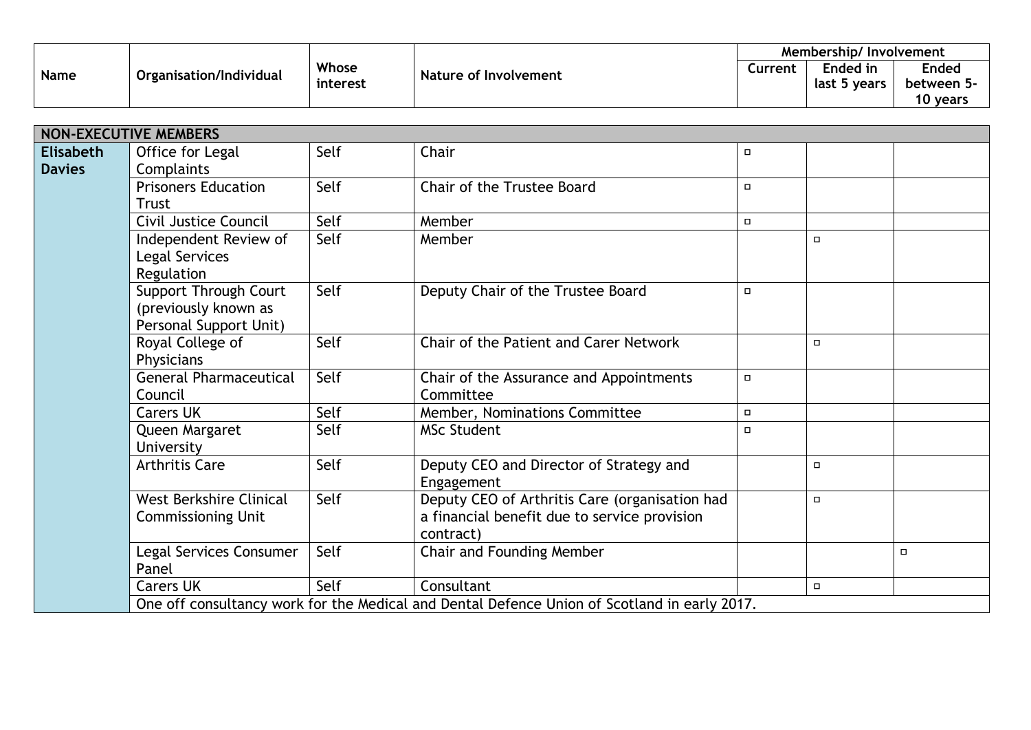| <b>Name</b> | Organisation/Individual | Whose<br><b>Nature of Involvement</b><br>interest | Membership/Involvement |         |              |              |
|-------------|-------------------------|---------------------------------------------------|------------------------|---------|--------------|--------------|
|             |                         |                                                   |                        | Current | Ended in     | <b>Ended</b> |
|             |                         |                                                   |                        |         | last 5 years | between 5-   |
|             |                         |                                                   |                        |         |              | 10 years     |

| <b>NON-EXECUTIVE MEMBERS</b>      |                                                                         |      |                                                                                                             |        |        |        |
|-----------------------------------|-------------------------------------------------------------------------|------|-------------------------------------------------------------------------------------------------------------|--------|--------|--------|
| <b>Elisabeth</b><br><b>Davies</b> | Office for Legal<br>Complaints                                          | Self | Chair                                                                                                       | $\Box$ |        |        |
|                                   | <b>Prisoners Education</b><br><b>Trust</b>                              | Self | <b>Chair of the Trustee Board</b>                                                                           | $\Box$ |        |        |
|                                   | Civil Justice Council                                                   | Self | Member                                                                                                      | $\Box$ |        |        |
|                                   | Independent Review of<br>Legal Services<br>Regulation                   | Self | Member                                                                                                      |        | $\Box$ |        |
|                                   | Support Through Court<br>(previously known as<br>Personal Support Unit) | Self | Deputy Chair of the Trustee Board                                                                           | $\Box$ |        |        |
|                                   | Royal College of<br>Physicians                                          | Self | Chair of the Patient and Carer Network                                                                      |        | $\Box$ |        |
|                                   | <b>General Pharmaceutical</b><br>Council                                | Self | Chair of the Assurance and Appointments<br>Committee                                                        | $\Box$ |        |        |
|                                   | <b>Carers UK</b>                                                        | Self | Member, Nominations Committee                                                                               | $\Box$ |        |        |
|                                   | Queen Margaret<br>University                                            | Self | <b>MSc Student</b>                                                                                          | $\Box$ |        |        |
|                                   | <b>Arthritis Care</b>                                                   | Self | Deputy CEO and Director of Strategy and<br>Engagement                                                       |        | $\Box$ |        |
|                                   | West Berkshire Clinical<br><b>Commissioning Unit</b>                    | Self | Deputy CEO of Arthritis Care (organisation had<br>a financial benefit due to service provision<br>contract) |        | $\Box$ |        |
|                                   | Legal Services Consumer<br>Panel                                        | Self | Chair and Founding Member                                                                                   |        |        | $\Box$ |
|                                   | <b>Carers UK</b>                                                        | Self | Consultant                                                                                                  |        | $\Box$ |        |
|                                   |                                                                         |      | One off consultancy work for the Medical and Dental Defence Union of Scotland in early 2017.                |        |        |        |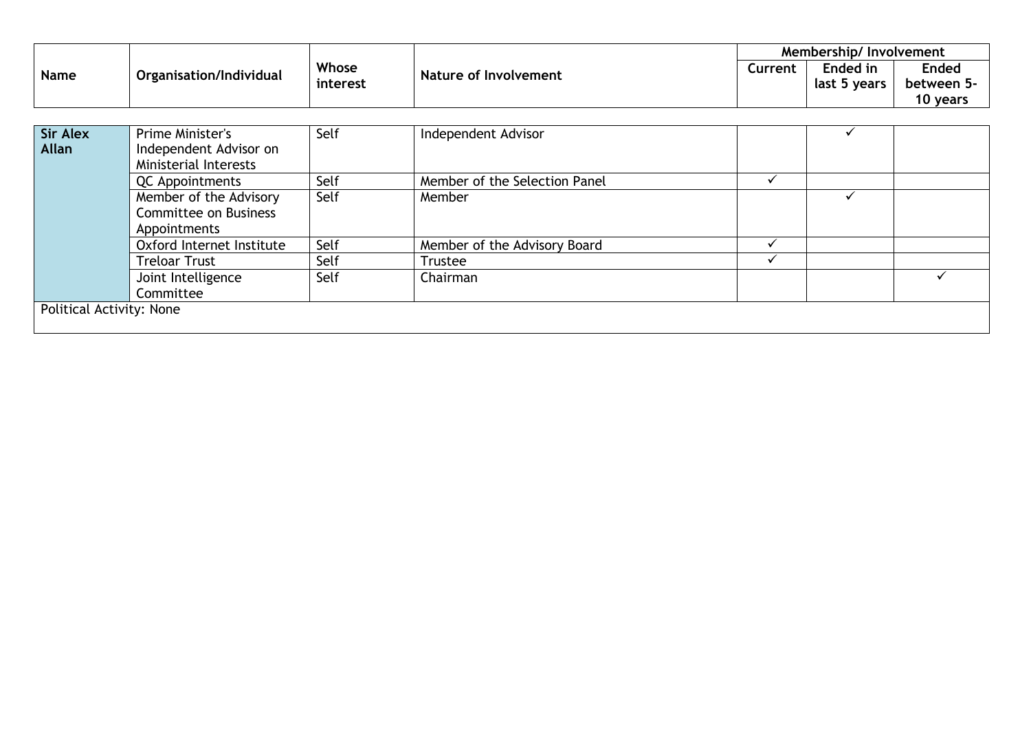|                 |                              |          |                               |              | Membership/Involvement |              |
|-----------------|------------------------------|----------|-------------------------------|--------------|------------------------|--------------|
| Name            | Organisation/Individual      | Whose    | Nature of Involvement         | Current      | Ended in               | <b>Ended</b> |
|                 |                              | interest |                               |              | last 5 years           | between 5-   |
|                 |                              |          |                               |              |                        | 10 years     |
|                 |                              |          |                               |              |                        |              |
| <b>Sir Alex</b> | Prime Minister's             | Self     | Independent Advisor           |              |                        |              |
| Allan           | Independent Advisor on       |          |                               |              |                        |              |
|                 | Ministerial Interests        |          |                               |              |                        |              |
|                 | <b>QC</b> Appointments       | Self     | Member of the Selection Panel |              |                        |              |
|                 | Member of the Advisory       | Self     | Member                        |              |                        |              |
|                 | <b>Committee on Business</b> |          |                               |              |                        |              |
|                 | Appointments                 |          |                               |              |                        |              |
|                 | Oxford Internet Institute    | Self     | Member of the Advisory Board  | $\checkmark$ |                        |              |
|                 | <b>Treloar Trust</b>         | Self     | <b>Trustee</b>                |              |                        |              |
|                 | Joint Intelligence           | Self     | Chairman                      |              |                        |              |
|                 | Committee                    |          |                               |              |                        |              |

Political Activity: None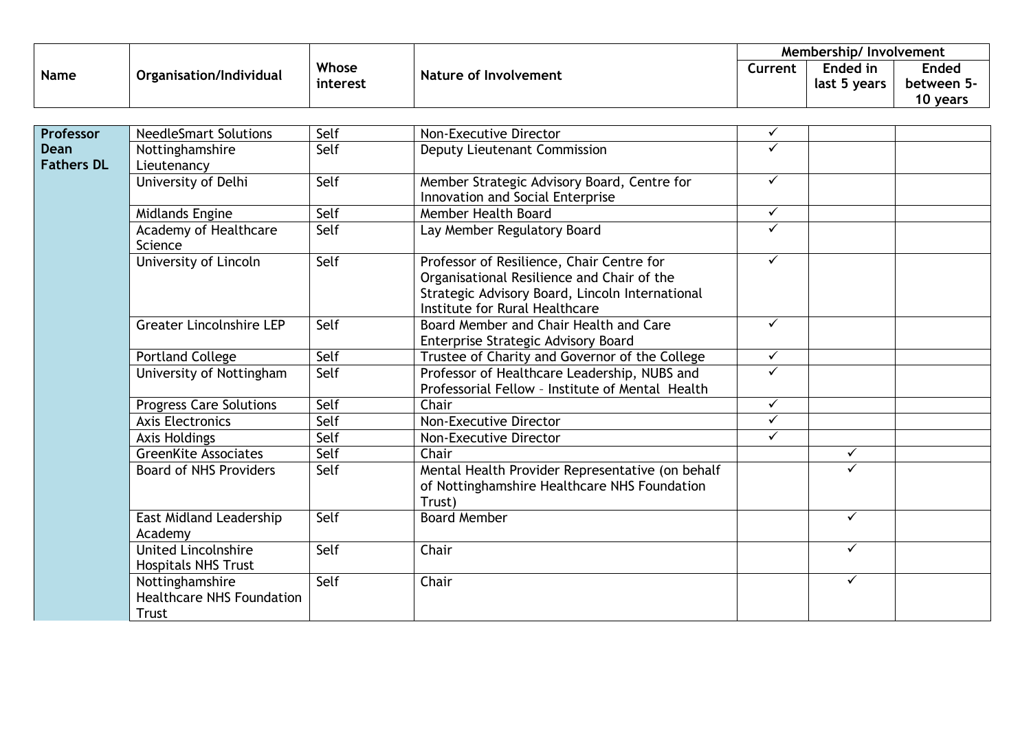| <b>Name</b> | Organisation/Individual | Whose<br><b>Nature of Involvement</b><br>interest | Membership/Involvement |         |              |              |
|-------------|-------------------------|---------------------------------------------------|------------------------|---------|--------------|--------------|
|             |                         |                                                   |                        | Current | Ended in     | <b>Ended</b> |
|             |                         |                                                   |                        |         | last 5 years | between 5-   |
|             |                         |                                                   |                        |         |              | 10 years     |

| Professor         | <b>NeedleSmart Solutions</b>                                 | Self | Non-Executive Director                           | $\checkmark$ |              |  |
|-------------------|--------------------------------------------------------------|------|--------------------------------------------------|--------------|--------------|--|
| Dean              | Nottinghamshire                                              | Self | Deputy Lieutenant Commission                     | $\checkmark$ |              |  |
| <b>Fathers DL</b> | Lieutenancy                                                  |      |                                                  |              |              |  |
|                   | University of Delhi                                          | Self | Member Strategic Advisory Board, Centre for      | $\checkmark$ |              |  |
|                   |                                                              |      | Innovation and Social Enterprise                 |              |              |  |
|                   | Midlands Engine                                              | Self | Member Health Board                              | $\checkmark$ |              |  |
|                   | Academy of Healthcare<br>Science                             | Self | Lay Member Regulatory Board                      | $\checkmark$ |              |  |
|                   | University of Lincoln                                        | Self | Professor of Resilience, Chair Centre for        | $\checkmark$ |              |  |
|                   |                                                              |      | Organisational Resilience and Chair of the       |              |              |  |
|                   |                                                              |      | Strategic Advisory Board, Lincoln International  |              |              |  |
|                   |                                                              |      | Institute for Rural Healthcare                   |              |              |  |
|                   | <b>Greater Lincolnshire LEP</b>                              | Self | Board Member and Chair Health and Care           | $\checkmark$ |              |  |
|                   |                                                              |      | Enterprise Strategic Advisory Board              |              |              |  |
|                   | <b>Portland College</b>                                      | Self | Trustee of Charity and Governor of the College   | $\checkmark$ |              |  |
|                   | University of Nottingham                                     | Self | Professor of Healthcare Leadership, NUBS and     | $\checkmark$ |              |  |
|                   |                                                              |      | Professorial Fellow - Institute of Mental Health |              |              |  |
|                   | <b>Progress Care Solutions</b>                               | Self | Chair                                            | $\checkmark$ |              |  |
|                   | <b>Axis Electronics</b>                                      | Self | Non-Executive Director                           | $\checkmark$ |              |  |
|                   | Axis Holdings                                                | Self | Non-Executive Director                           | $\checkmark$ |              |  |
|                   | <b>GreenKite Associates</b>                                  | Self | Chair                                            |              | $\checkmark$ |  |
|                   | <b>Board of NHS Providers</b>                                | Self | Mental Health Provider Representative (on behalf |              | ✓            |  |
|                   |                                                              |      | of Nottinghamshire Healthcare NHS Foundation     |              |              |  |
|                   |                                                              |      | Trust)                                           |              |              |  |
|                   | East Midland Leadership<br>Academy                           | Self | <b>Board Member</b>                              |              | $\checkmark$ |  |
|                   | <b>United Lincolnshire</b><br><b>Hospitals NHS Trust</b>     | Self | Chair                                            |              | $\checkmark$ |  |
|                   | Nottinghamshire<br><b>Healthcare NHS Foundation</b><br>Trust | Self | Chair                                            |              | $\checkmark$ |  |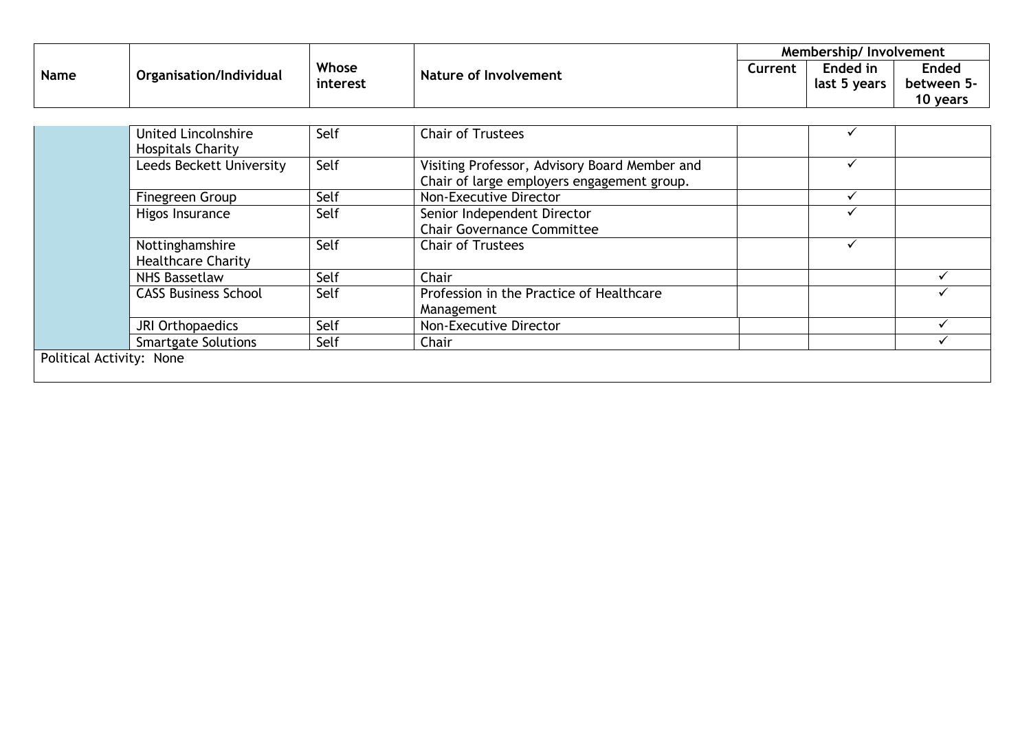| <b>Name</b> | Organisation/Individual | Whose<br>interest | Nature of Involvement | Membership/Involvement |              |              |
|-------------|-------------------------|-------------------|-----------------------|------------------------|--------------|--------------|
|             |                         |                   |                       | Current                | Ended in     | <b>Ended</b> |
|             |                         |                   |                       |                        | last 5 years | between 5-   |
|             |                         |                   |                       |                        |              | 10 years     |

|                          | <b>United Lincolnshire</b><br><b>Hospitals Charity</b> | Self | <b>Chair of Trustees</b>                               |  |
|--------------------------|--------------------------------------------------------|------|--------------------------------------------------------|--|
|                          | Leeds Beckett University                               | Self | Visiting Professor, Advisory Board Member and          |  |
|                          |                                                        |      | Chair of large employers engagement group.             |  |
|                          | Finegreen Group                                        | Self | Non-Executive Director                                 |  |
|                          | Higos Insurance                                        | Self | Senior Independent Director                            |  |
|                          |                                                        |      | <b>Chair Governance Committee</b>                      |  |
|                          | Nottinghamshire<br><b>Healthcare Charity</b>           | Self | <b>Chair of Trustees</b>                               |  |
|                          | NHS Bassetlaw                                          | Self | Chair                                                  |  |
|                          | <b>CASS Business School</b>                            | Self | Profession in the Practice of Healthcare<br>Management |  |
|                          | JRI Orthopaedics                                       | Self | Non-Executive Director                                 |  |
|                          | <b>Smartgate Solutions</b>                             | Self | Chair                                                  |  |
| Political Activity: None |                                                        |      |                                                        |  |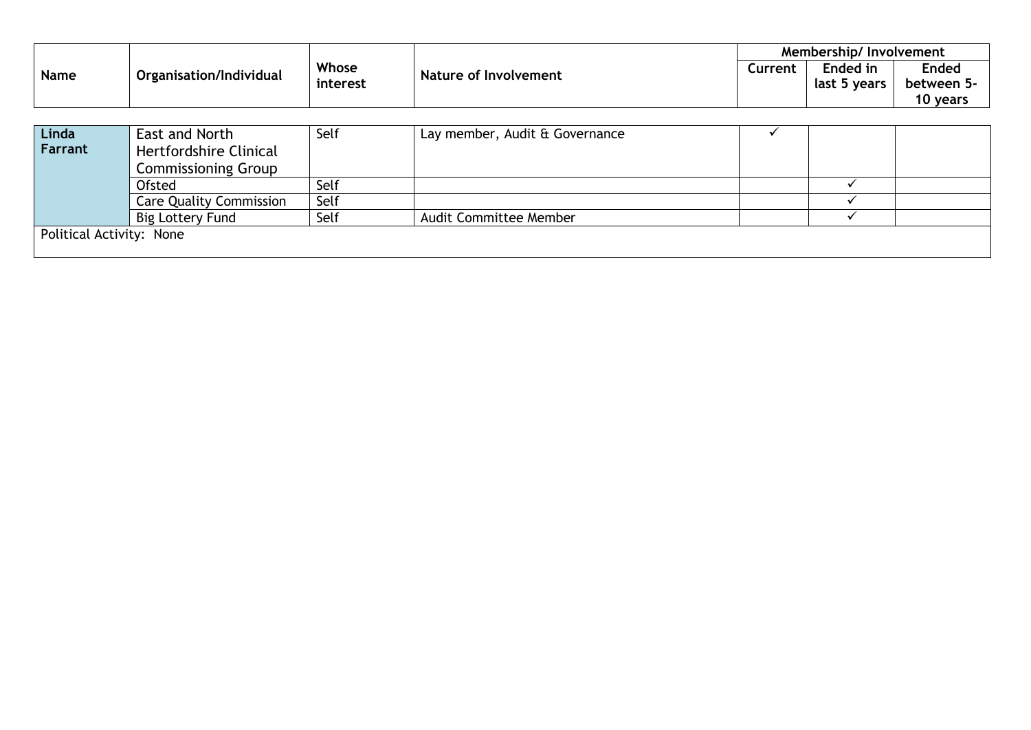|             |                         |                   |                                | Membership/Involvement |                          |                                        |
|-------------|-------------------------|-------------------|--------------------------------|------------------------|--------------------------|----------------------------------------|
| <b>Name</b> | Organisation/Individual | Whose<br>interest | Nature of Involvement          | Current                | Ended in<br>last 5 years | <b>Ended</b><br>between 5-<br>10 years |
|             |                         |                   |                                |                        |                          |                                        |
| Linda       | East and North          | Self              | Lay member, Audit & Governance |                        |                          |                                        |
| Farrant     | Hertfordshire Clinical  |                   |                                |                        |                          |                                        |

|                          | <b>Commissioning Group</b>     |      |                               |  |  |  |  |
|--------------------------|--------------------------------|------|-------------------------------|--|--|--|--|
|                          | Ofsted                         | Self |                               |  |  |  |  |
|                          | <b>Care Quality Commission</b> | Self |                               |  |  |  |  |
|                          | Big Lottery Fund               | Self | <b>Audit Committee Member</b> |  |  |  |  |
| Political Activity: None |                                |      |                               |  |  |  |  |
|                          |                                |      |                               |  |  |  |  |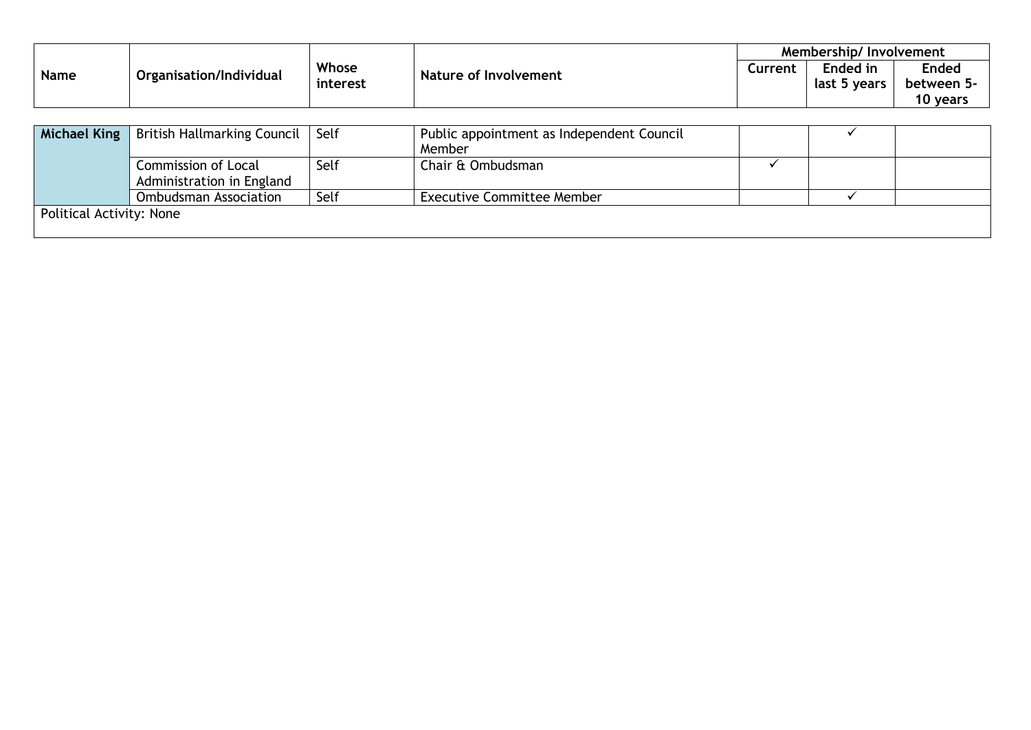| <b>Name</b> | Organisation/Individual | Whose<br><b>Nature of Involvement</b><br>interest |  | Membership/Involvement |                 |              |
|-------------|-------------------------|---------------------------------------------------|--|------------------------|-----------------|--------------|
|             |                         |                                                   |  | Current                | <b>Ended</b> in | <b>Ended</b> |
|             |                         |                                                   |  |                        | last 5 years    | between 5-   |
|             |                         |                                                   |  |                        |                 | 10 years     |

|                          | Michael King   British Hallmarking Council   Self |      | Public appointment as Independent Council |  |  |  |  |
|--------------------------|---------------------------------------------------|------|-------------------------------------------|--|--|--|--|
|                          |                                                   |      | Member                                    |  |  |  |  |
|                          | Commission of Local                               | Self | Chair & Ombudsman                         |  |  |  |  |
|                          | Administration in England                         |      |                                           |  |  |  |  |
|                          | <b>Ombudsman Association</b>                      | Self | <b>Executive Committee Member</b>         |  |  |  |  |
| Political Activity: None |                                                   |      |                                           |  |  |  |  |
|                          |                                                   |      |                                           |  |  |  |  |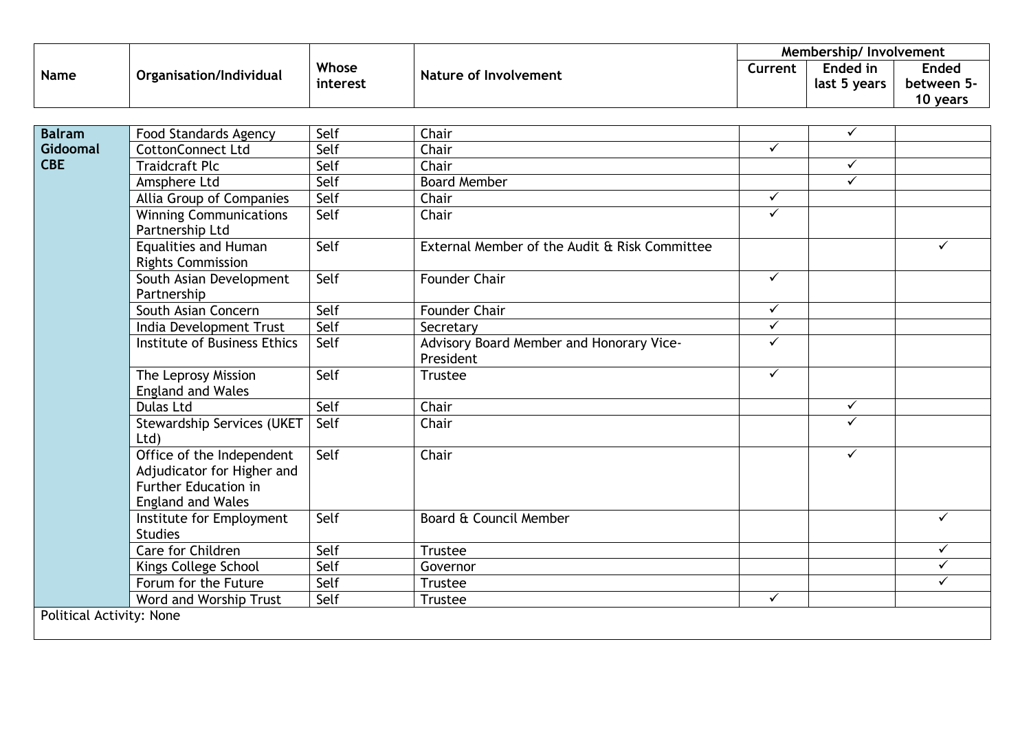|             |                         |          | Membership/Involvement |         |              |              |
|-------------|-------------------------|----------|------------------------|---------|--------------|--------------|
| <b>Name</b> | Organisation/Individual | Whose    | Nature of Involvement  | Current | Ended in     | <b>Ended</b> |
|             |                         | interest |                        |         | last 5 years | between 5-   |
|             |                         |          |                        |         |              | ) vears      |

| <b>Balram</b>            | Food Standards Agency                                                                                       | Self | Chair                                                 |              | $\checkmark$ |              |
|--------------------------|-------------------------------------------------------------------------------------------------------------|------|-------------------------------------------------------|--------------|--------------|--------------|
| Gidoomal                 | <b>CottonConnect Ltd</b>                                                                                    | Self | Chair                                                 | ✓            |              |              |
| <b>CBE</b>               | <b>Traidcraft Plc</b>                                                                                       | Self | Chair                                                 |              | $\checkmark$ |              |
|                          | Amsphere Ltd                                                                                                | Self | <b>Board Member</b>                                   |              | $\checkmark$ |              |
|                          | Allia Group of Companies                                                                                    | Self | Chair                                                 | $\checkmark$ |              |              |
|                          | <b>Winning Communications</b><br>Partnership Ltd                                                            | Self | Chair                                                 | $\checkmark$ |              |              |
|                          | <b>Equalities and Human</b><br><b>Rights Commission</b>                                                     | Self | External Member of the Audit & Risk Committee         |              |              |              |
|                          | South Asian Development<br>Partnership                                                                      | Self | <b>Founder Chair</b>                                  | $\checkmark$ |              |              |
|                          | South Asian Concern                                                                                         | Self | Founder Chair                                         | $\checkmark$ |              |              |
|                          | India Development Trust                                                                                     | Self | Secretary                                             | $\checkmark$ |              |              |
|                          | Institute of Business Ethics                                                                                | Self | Advisory Board Member and Honorary Vice-<br>President | ✓            |              |              |
|                          | The Leprosy Mission<br><b>England and Wales</b>                                                             | Self | <b>Trustee</b>                                        | $\checkmark$ |              |              |
|                          | <b>Dulas Ltd</b>                                                                                            | Self | Chair                                                 |              | $\checkmark$ |              |
|                          | <b>Stewardship Services (UKET</b><br>Ltd                                                                    | Self | Chair                                                 |              | $\checkmark$ |              |
|                          | Office of the Independent<br>Adjudicator for Higher and<br>Further Education in<br><b>England and Wales</b> | Self | Chair                                                 |              | $\checkmark$ |              |
|                          | Institute for Employment<br><b>Studies</b>                                                                  | Self | Board & Council Member                                |              |              |              |
|                          | <b>Care for Children</b>                                                                                    | Self | Trustee                                               |              |              | $\checkmark$ |
|                          | Kings College School                                                                                        | Self | Governor                                              |              |              | $\checkmark$ |
|                          | Forum for the Future                                                                                        | Self | Trustee                                               |              |              |              |
|                          | Word and Worship Trust                                                                                      | Self | <b>Trustee</b>                                        | $\checkmark$ |              |              |
| Political Activity: None |                                                                                                             |      |                                                       |              |              |              |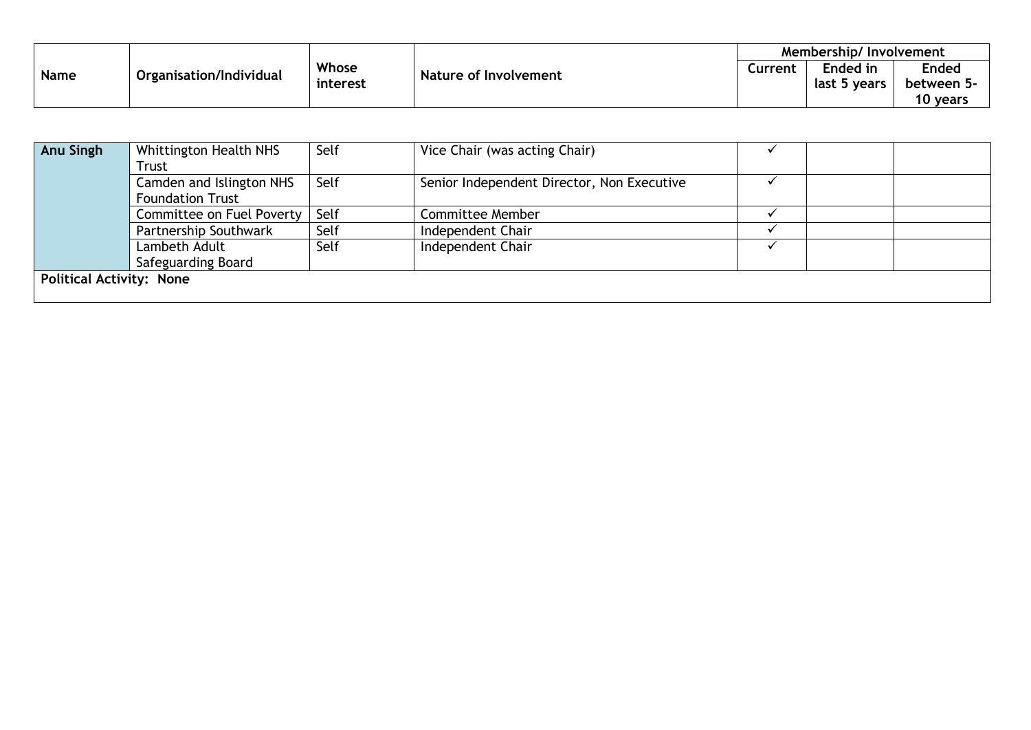| <b>Name</b> | Organisation/Individual |                   |                       | Membership/Involvement |              |              |
|-------------|-------------------------|-------------------|-----------------------|------------------------|--------------|--------------|
|             |                         | Whose<br>interest | Nature of Involvement | Current                | Ended in     | <b>Ended</b> |
|             |                         |                   |                       |                        | last 5 years | between 5-   |
|             |                         |                   |                       |                        |              | 10 years     |

| Anu Singh                       | Whittington Health NHS    | Self | Vice Chair (was acting Chair)              |  |  |  |
|---------------------------------|---------------------------|------|--------------------------------------------|--|--|--|
|                                 | Trust                     |      |                                            |  |  |  |
|                                 | Camden and Islington NHS  | Self | Senior Independent Director, Non Executive |  |  |  |
|                                 | <b>Foundation Trust</b>   |      |                                            |  |  |  |
|                                 | Committee on Fuel Poverty | Self | <b>Committee Member</b>                    |  |  |  |
|                                 | Partnership Southwark     | Self | Independent Chair                          |  |  |  |
|                                 | Lambeth Adult             | Self | Independent Chair                          |  |  |  |
|                                 | Safeguarding Board        |      |                                            |  |  |  |
| <b>Political Activity: None</b> |                           |      |                                            |  |  |  |
|                                 |                           |      |                                            |  |  |  |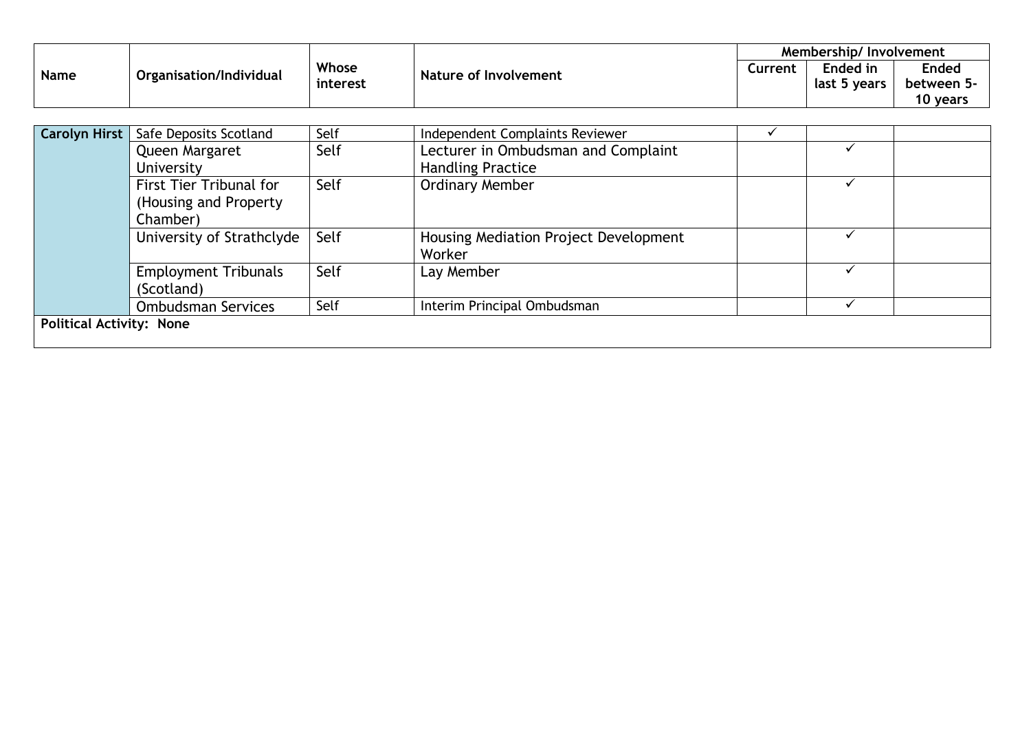|      |                         |          | <b>Membership/Involvement</b> |         |              |              |
|------|-------------------------|----------|-------------------------------|---------|--------------|--------------|
| Name | Organisation/Individual | Whose    | <b>Nature of Involvement</b>  | Current | Ended in     | <b>Ended</b> |
|      |                         | interest |                               |         | last 5 years | between 5-   |
|      |                         |          |                               |         |              | 10 years     |

| <b>Carolyn Hirst</b>            | Safe Deposits Scotland      | Self | Independent Complaints Reviewer       |  |  |
|---------------------------------|-----------------------------|------|---------------------------------------|--|--|
|                                 | Queen Margaret              | Self | Lecturer in Ombudsman and Complaint   |  |  |
|                                 | University                  |      | <b>Handling Practice</b>              |  |  |
|                                 | First Tier Tribunal for     | Self | <b>Ordinary Member</b>                |  |  |
|                                 | (Housing and Property)      |      |                                       |  |  |
|                                 | Chamber)                    |      |                                       |  |  |
|                                 | University of Strathclyde   | Self | Housing Mediation Project Development |  |  |
|                                 |                             |      | Worker                                |  |  |
|                                 | <b>Employment Tribunals</b> | Self | Lay Member                            |  |  |
|                                 | (Scotland)                  |      |                                       |  |  |
|                                 | <b>Ombudsman Services</b>   | Self | Interim Principal Ombudsman           |  |  |
| <b>Political Activity: None</b> |                             |      |                                       |  |  |
|                                 |                             |      |                                       |  |  |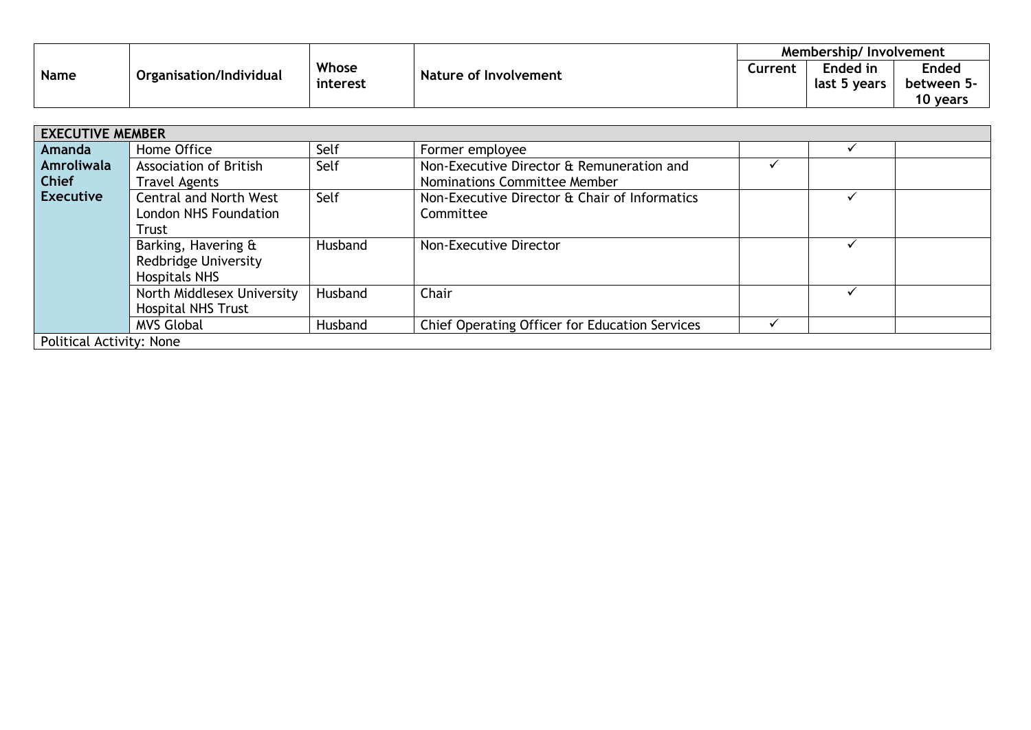|             |                         |          | Membership/Involvement       |         |                 |              |
|-------------|-------------------------|----------|------------------------------|---------|-----------------|--------------|
|             | Organisation/Individual | Whose    | <b>Nature of Involvement</b> | Current | <b>Ended in</b> | <b>Ended</b> |
| <b>Name</b> |                         | interest |                              |         | last 5 years    | between 5-   |
|             |                         |          |                              |         |                 | 10 years     |

|                                 | <b>EXECUTIVE MEMBER</b>       |         |                                                |  |  |  |  |  |
|---------------------------------|-------------------------------|---------|------------------------------------------------|--|--|--|--|--|
| Amanda                          | Home Office                   | Self    | Former employee                                |  |  |  |  |  |
| Amroliwala                      | Association of British        | Self    | Non-Executive Director & Remuneration and      |  |  |  |  |  |
| <b>Chief</b>                    | <b>Travel Agents</b>          |         | Nominations Committee Member                   |  |  |  |  |  |
| <b>Executive</b>                | <b>Central and North West</b> | Self    | Non-Executive Director & Chair of Informatics  |  |  |  |  |  |
|                                 | London NHS Foundation         |         | Committee                                      |  |  |  |  |  |
|                                 | Trust                         |         |                                                |  |  |  |  |  |
|                                 | Barking, Havering &           | Husband | Non-Executive Director                         |  |  |  |  |  |
|                                 | Redbridge University          |         |                                                |  |  |  |  |  |
|                                 | <b>Hospitals NHS</b>          |         |                                                |  |  |  |  |  |
|                                 | North Middlesex University    | Husband | Chair                                          |  |  |  |  |  |
|                                 | <b>Hospital NHS Trust</b>     |         |                                                |  |  |  |  |  |
|                                 | <b>MVS Global</b>             | Husband | Chief Operating Officer for Education Services |  |  |  |  |  |
| <b>Political Activity: None</b> |                               |         |                                                |  |  |  |  |  |